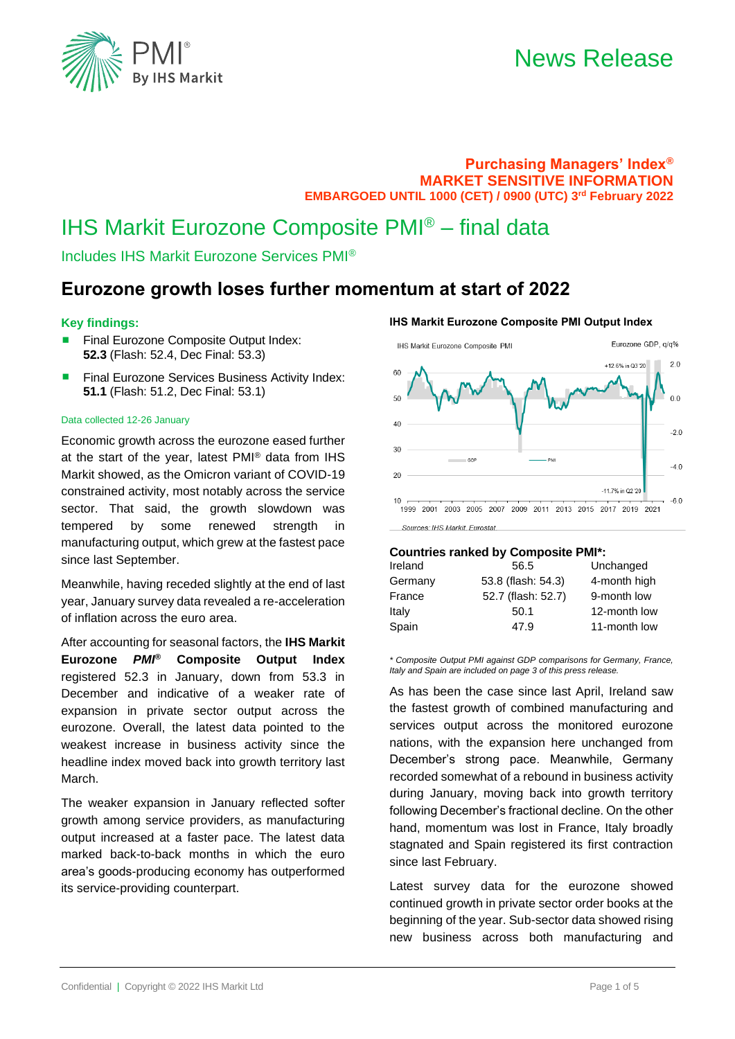

### **Purchasing Managers' Index® MARKET SENSITIVE INFORMATION EMBARGOED UNTIL 1000 (CET) / 0900 (UTC) 3 rd February 2022**

## IHS Markit Eurozone Composite PMI® – final data

Includes IHS Markit Eurozone Services PMI®

### **Eurozone growth loses further momentum at start of 2022**

### **Key findings:**

- Final Eurozone Composite Output Index: **52.3** (Flash: 52.4, Dec Final: 53.3)
- Final Eurozone Services Business Activity Index: **51.1** (Flash: 51.2, Dec Final: 53.1)

#### Data collected 12-26 January

Economic growth across the eurozone eased further at the start of the year, latest PMI® data from IHS Markit showed, as the Omicron variant of COVID-19 constrained activity, most notably across the service sector. That said, the growth slowdown was tempered by some renewed strength in manufacturing output, which grew at the fastest pace since last September.

Meanwhile, having receded slightly at the end of last year, January survey data revealed a re-acceleration of inflation across the euro area.

After accounting for seasonal factors, the **IHS Markit Eurozone** *PMI***® Composite Output Index** registered 52.3 in January, down from 53.3 in December and indicative of a weaker rate of expansion in private sector output across the eurozone. Overall, the latest data pointed to the weakest increase in business activity since the headline index moved back into growth territory last March.

The weaker expansion in January reflected softer growth among service providers, as manufacturing output increased at a faster pace. The latest data marked back-to-back months in which the euro area's goods-producing economy has outperformed its service-providing counterpart.

### **IHS Markit Eurozone Composite PMI Output Index**



### **Countries ranked by Composite PMI\*:**

| 56.5               | Unchanged    |
|--------------------|--------------|
| 53.8 (flash: 54.3) | 4-month high |
| 52.7 (flash: 52.7) | 9-month low  |
| 50.1               | 12-month low |
| 47.9               | 11-month low |
|                    |              |

*\* Composite Output PMI against GDP comparisons for Germany, France, Italy and Spain are included on page 3 of this press release.*

As has been the case since last April, Ireland saw the fastest growth of combined manufacturing and services output across the monitored eurozone nations, with the expansion here unchanged from December's strong pace. Meanwhile, Germany recorded somewhat of a rebound in business activity during January, moving back into growth territory following December's fractional decline. On the other hand, momentum was lost in France, Italy broadly stagnated and Spain registered its first contraction since last February.

Latest survey data for the eurozone showed continued growth in private sector order books at the beginning of the year. Sub-sector data showed rising new business across both manufacturing and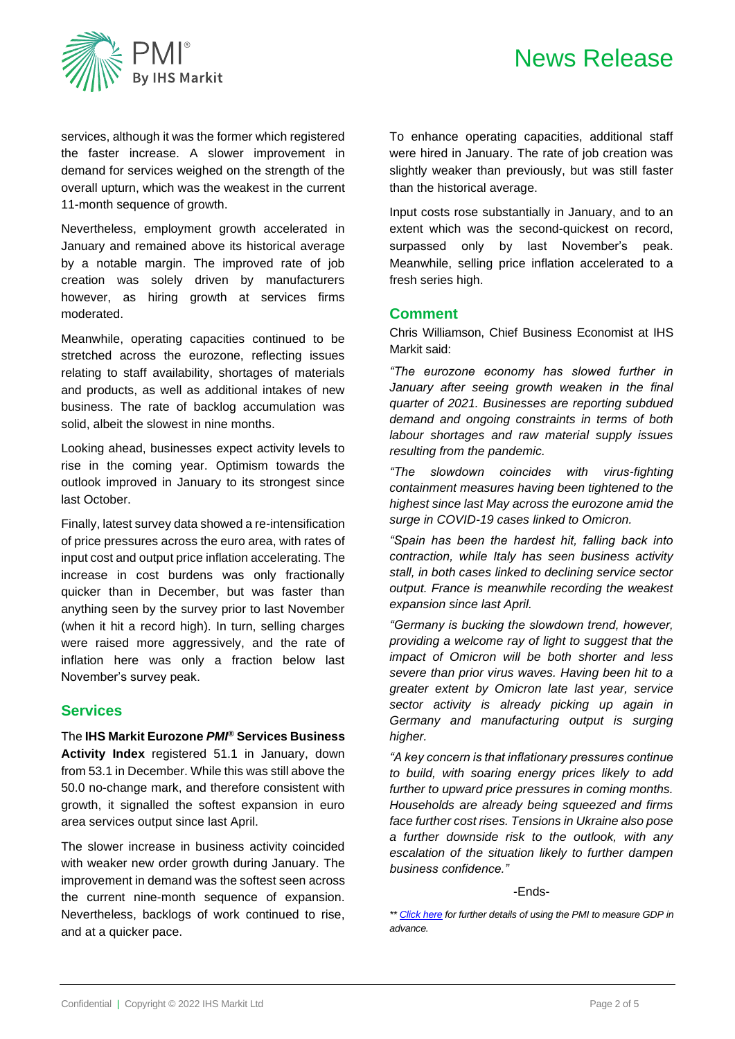

services, although it was the former which registered the faster increase. A slower improvement in demand for services weighed on the strength of the overall upturn, which was the weakest in the current 11-month sequence of growth.

Nevertheless, employment growth accelerated in January and remained above its historical average by a notable margin. The improved rate of job creation was solely driven by manufacturers however, as hiring growth at services firms moderated.

Meanwhile, operating capacities continued to be stretched across the eurozone, reflecting issues relating to staff availability, shortages of materials and products, as well as additional intakes of new business. The rate of backlog accumulation was solid, albeit the slowest in nine months.

Looking ahead, businesses expect activity levels to rise in the coming year. Optimism towards the outlook improved in January to its strongest since last October.

Finally, latest survey data showed a re-intensification of price pressures across the euro area, with rates of input cost and output price inflation accelerating. The increase in cost burdens was only fractionally quicker than in December, but was faster than anything seen by the survey prior to last November (when it hit a record high). In turn, selling charges were raised more aggressively, and the rate of inflation here was only a fraction below last November's survey peak.

### **Services**

The **IHS Markit Eurozone** *PMI***® Services Business Activity Index** registered 51.1 in January, down from 53.1 in December. While this was still above the 50.0 no-change mark, and therefore consistent with growth, it signalled the softest expansion in euro area services output since last April.

The slower increase in business activity coincided with weaker new order growth during January. The improvement in demand was the softest seen across the current nine-month sequence of expansion. Nevertheless, backlogs of work continued to rise, and at a quicker pace.

To enhance operating capacities, additional staff were hired in January. The rate of job creation was slightly weaker than previously, but was still faster than the historical average.

Input costs rose substantially in January, and to an extent which was the second-quickest on record, surpassed only by last November's peak. Meanwhile, selling price inflation accelerated to a fresh series high.

### **Comment**

Chris Williamson, Chief Business Economist at IHS Markit said:

*"The eurozone economy has slowed further in January after seeing growth weaken in the final quarter of 2021. Businesses are reporting subdued demand and ongoing constraints in terms of both labour shortages and raw material supply issues resulting from the pandemic.*

*"The slowdown coincides with virus-fighting containment measures having been tightened to the highest since last May across the eurozone amid the surge in COVID-19 cases linked to Omicron.* 

*"Spain has been the hardest hit, falling back into contraction, while Italy has seen business activity stall, in both cases linked to declining service sector output. France is meanwhile recording the weakest expansion since last April.* 

*"Germany is bucking the slowdown trend, however, providing a welcome ray of light to suggest that the impact of Omicron will be both shorter and less severe than prior virus waves. Having been hit to a greater extent by Omicron late last year, service sector activity is already picking up again in Germany and manufacturing output is surging higher.*

*"A key concern is that inflationary pressures continue to build, with soaring energy prices likely to add further to upward price pressures in coming months. Households are already being squeezed and firms face further cost rises. Tensions in Ukraine also pose a further downside risk to the outlook, with any escalation of the situation likely to further dampen business confidence."*

-Ends-

*<sup>\*\*</sup> [Click here](http://www.markit.com/Commentary/Get/17082015-Economics-Using-PMI-survey-data-to-predict-official-eurozone-GDP-growth-rates) for further details of using the PMI to measure GDP in advance.*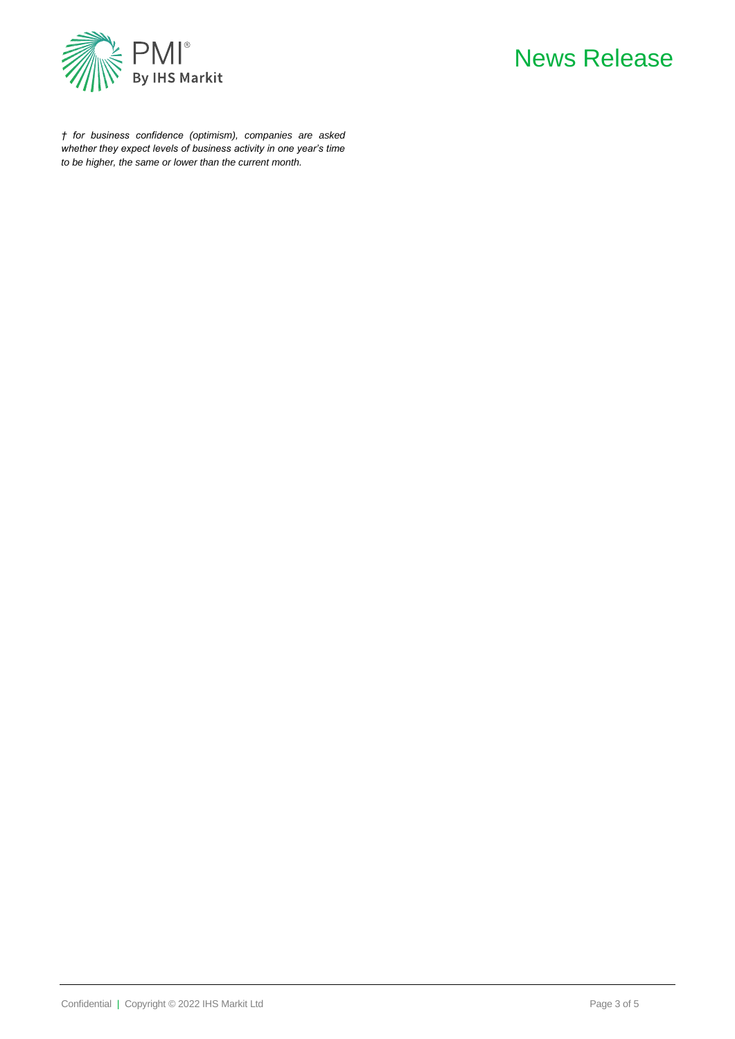

## News Release

*† for business confidence (optimism), companies are asked whether they expect levels of business activity in one year's time to be higher, the same or lower than the current month.*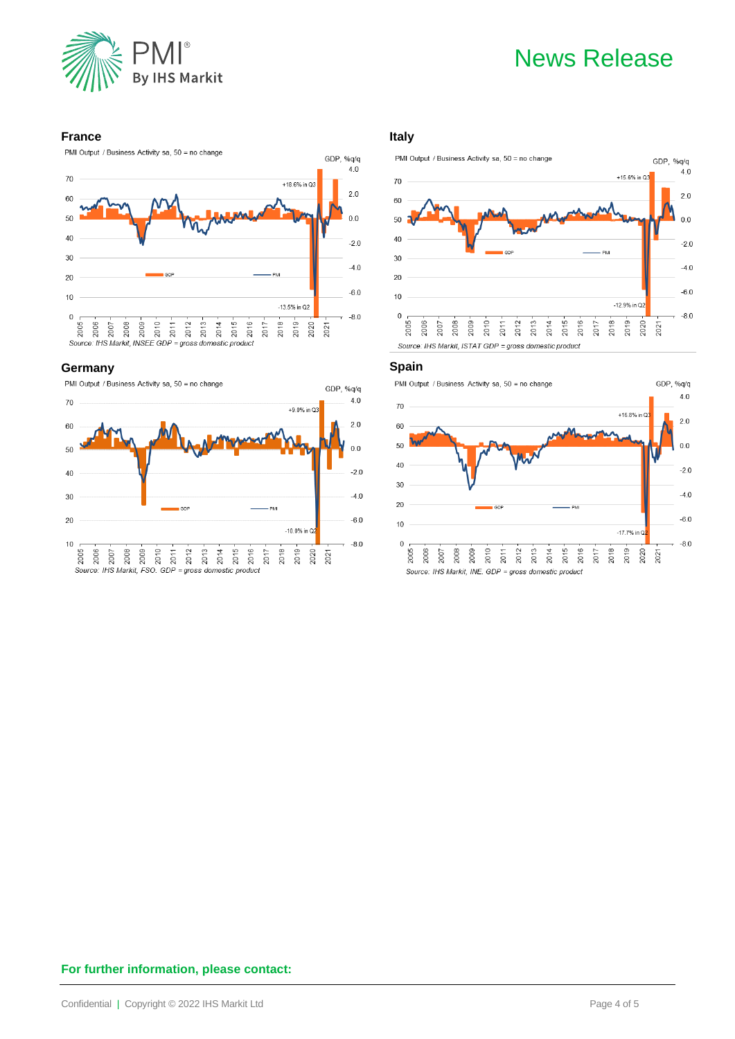

# News Release

GDP, %q/q

### **France**





### **Germany**



### **Italy**



### **Spain**





### **For further information, please contact:**